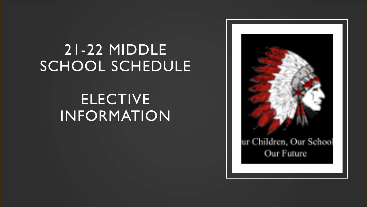# 21-22 MIDDLE SCHOOL SCHEDULE

# ELECTIVE INFORMATION

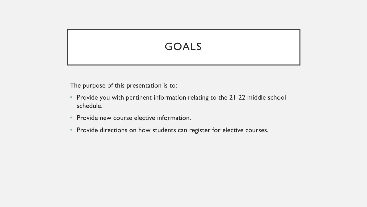# GOALS

The purpose of this presentation is to:

- Provide you with pertinent information relating to the 21-22 middle school schedule.
- Provide new course elective information.
- Provide directions on how students can register for elective courses.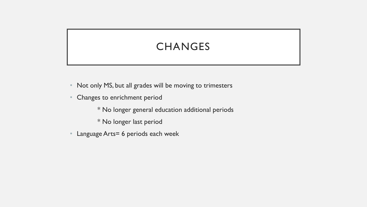# **CHANGES**

- Not only MS, but all grades will be moving to trimesters
- Changes to enrichment period
	- \* No longer general education additional periods
	- \* No longer last period
- Language Arts= 6 periods each week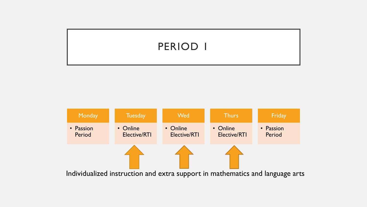## PERIOD 1

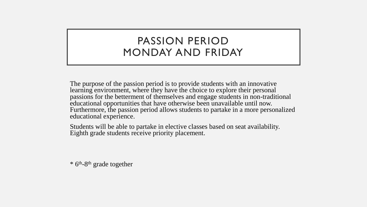### PASSION PERIOD MONDAY AND FRIDAY

The purpose of the passion period is to provide students with an innovative learning environment, where they have the choice to explore their personal passions for the betterment of themselves and engage students in non-traditional educational opportunities that have otherwise been unavailable until now. Furthermore, the passion period allows students to partake in a more personalized educational experience.

Students will be able to partake in elective classes based on seat availability. Eighth grade students receive priority placement.

\* 6th -8 th grade together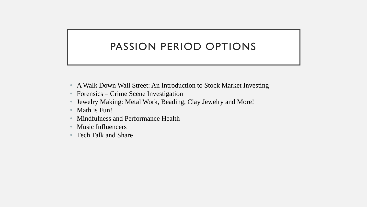# PASSION PERIOD OPTIONS

- A Walk Down Wall Street: An Introduction to Stock Market Investing
- Forensics Crime Scene Investigation
- Jewelry Making: Metal Work, Beading, Clay Jewelry and More!
- Math is Fun!
- Mindfulness and Performance Health
- Music Influencers
- Tech Talk and Share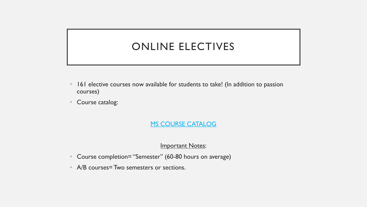## ONLINE ELECTIVES

- 161 elective courses now available for students to take! (In addition to passion courses)
- Course catalog:

**MS COURSE [CATALOG](https://drive.google.com/file/d/1eHPbsR8CcKUNrAjfWdnd264OoBNJpllf/view?usp=sharing)** 

Important Notes:

- Course completion= "Semester" (60-80 hours on average)
- A/B courses= Two semesters or sections.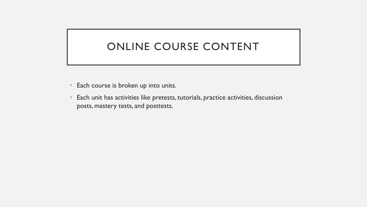# ONLINE COURSE CONTENT

- Each course is broken up into units.
- Each unit has activities like pretests, tutorials, practice activities, discussion posts, mastery tests, and posttests.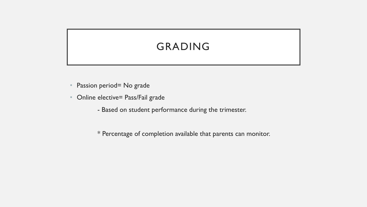# GRADING

- Passion period= No grade
- Online elective= Pass/Fail grade
	- Based on student performance during the trimester.

\* Percentage of completion available that parents can monitor.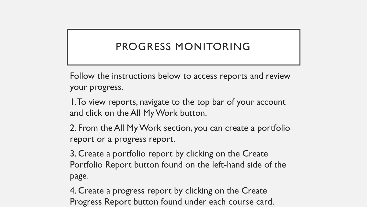# PROGRESS MONITORING

Follow the instructions below to access reports and review your progress.

1. To view reports, navigate to the top bar of your account and click on the All My Work button.

2. From the All My Work section, you can create a portfolio report or a progress report.

3. Create a portfolio report by clicking on the Create Portfolio Report button found on the left-hand side of the page.

4. Create a progress report by clicking on the Create Progress Report button found under each course card.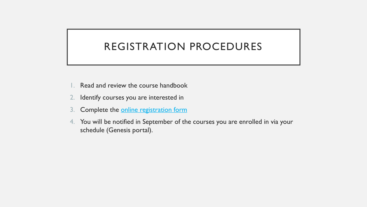### REGISTRATION PROCEDURES

- 1. Read and review the course handbook
- 2. Identify courses you are interested in
- 3. Complete the [online registration form](https://docs.google.com/forms/d/e/1FAIpQLSdM8X686wQQJPgMhsbqEUWKwK6n_x_0QK1UfxheetD9X1xcWA/viewform)
- 4. You will be notified in September of the courses you are enrolled in via your schedule (Genesis portal).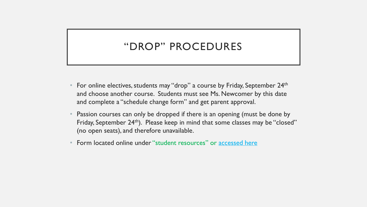### "DROP" PROCEDURES

- For online electives, students may "drop" a course by Friday, September 24<sup>th</sup> and choose another course. Students must see Ms. Newcomer by this date and complete a "schedule change form" and get parent approval.
- Passion courses can only be dropped if there is an opening (must be done by Friday, September 24<sup>th</sup>). Please keep in mind that some classes may be "closed" (no open seats), and therefore unavailable.
- Form located online under "student resources" or [accessed here](https://drive.google.com/file/d/1aljEx17zRso1-kwg-tPh4yscK2YGwQVC/view?usp=sharing)